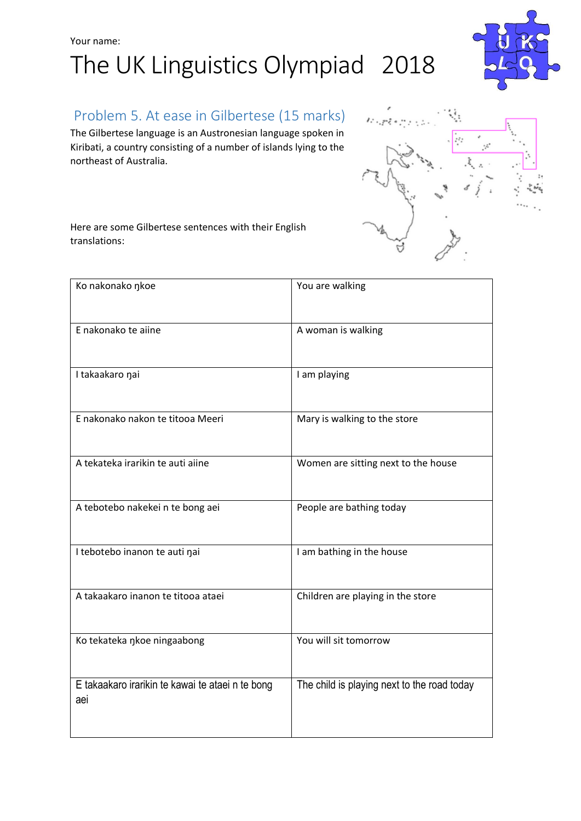# Your name: The UK Linguistics Olympiad 2018



## Problem 5. At ease in Gilbertese (15 marks)

The Gilbertese language is an Austronesian language spoken in Kiribati, a country consisting of a number of islands lying to the northeast of Australia.





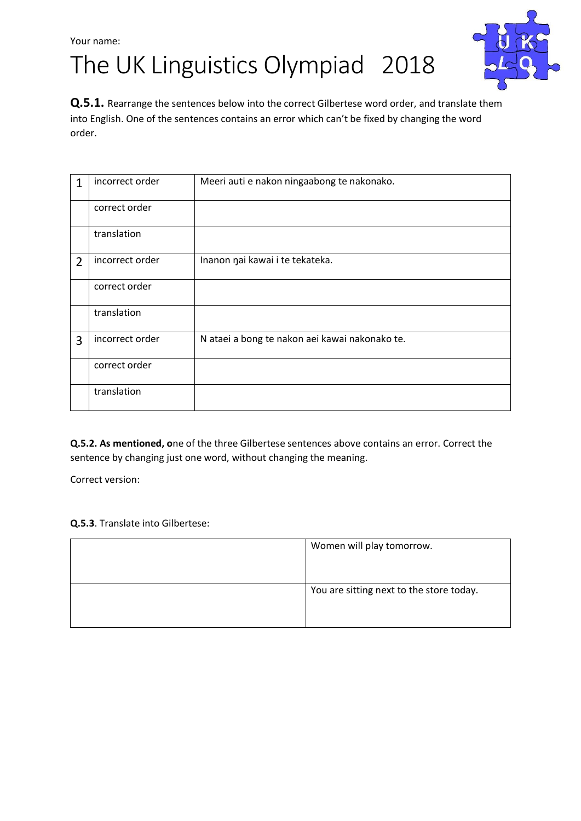The UK Linguistics Olympiad 2018



**Q.5.1.** Rearrange the sentences below into the correct Gilbertese word order, and translate them into English. One of the sentences contains an error which can't be fixed by changing the word order.

| 1              | incorrect order | Meeri auti e nakon ningaabong te nakonako.     |  |  |
|----------------|-----------------|------------------------------------------------|--|--|
|                | correct order   |                                                |  |  |
|                | translation     |                                                |  |  |
| $\overline{2}$ | incorrect order | Inanon nai kawai i te tekateka.                |  |  |
|                | correct order   |                                                |  |  |
|                | translation     |                                                |  |  |
| 3              | incorrect order | N ataei a bong te nakon aei kawai nakonako te. |  |  |
|                | correct order   |                                                |  |  |
|                | translation     |                                                |  |  |

**Q.5.2. As mentioned, o**ne of the three Gilbertese sentences above contains an error. Correct the sentence by changing just one word, without changing the meaning.

Correct version:

#### **Q.5.3**. Translate into Gilbertese:

| Women will play tomorrow.                |
|------------------------------------------|
|                                          |
|                                          |
| You are sitting next to the store today. |
|                                          |
|                                          |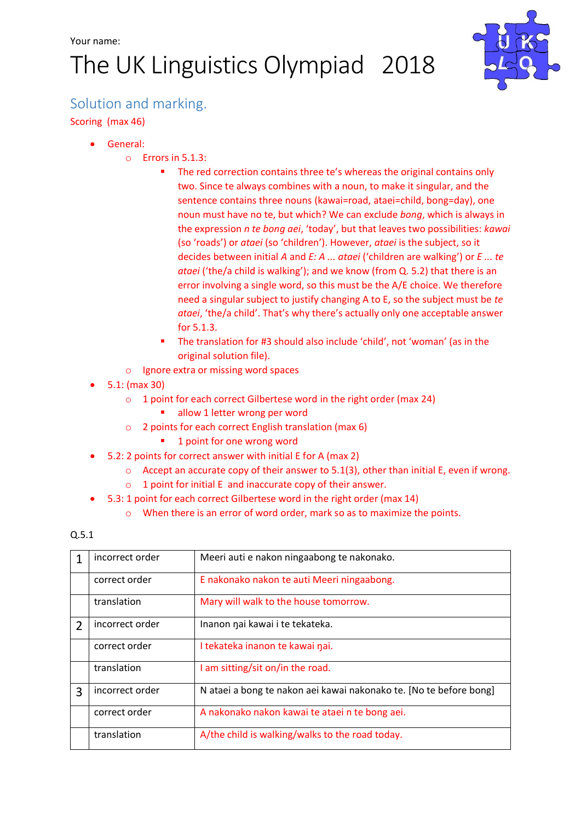# The UK Linguistics Olympiad 2018



## Solution and marking.

Scoring (max 46)

- General:
	- o Errors in 5.1.3:
		- **The red correction contains three te's whereas the original contains only** two. Since te always combines with a noun, to make it singular, and the sentence contains three nouns (kawai=road, ataei=child, bong=day), one noun must have no te, but which? We can exclude *bong*, which is always in the expression *n te bong aei*, 'today', but that leaves two possibilities: *kawai* (so 'roads') or *ataei* (so 'children'). However, *ataei* is the subject, so it decides between initial *A* and *E: A ... ataei* ('children are walking') or *E ... te ataei* ('the/a child is walking'); and we know (from Q. 5.2) that there is an error involving a single word, so this must be the A/E choice. We therefore need a singular subject to justify changing A to E, so the subject must be *te ataei*, 'the/a child'. That's why there's actually only one acceptable answer for 5.1.3.
		- The translation for #3 should also include 'child', not 'woman' (as in the original solution file).
	- o Ignore extra or missing word spaces
- 5.1: (max 30)
	- o 1 point for each correct Gilbertese word in the right order (max 24)
		- allow 1 letter wrong per word
	- o 2 points for each correct English translation (max 6)
		- **1** point for one wrong word
- 5.2: 2 points for correct answer with initial E for A (max 2)
	- $\circ$  Accept an accurate copy of their answer to 5.1(3), other than initial E, even if wrong.
	- o 1 point for initial E and inaccurate copy of their answer.
- 5.3: 1 point for each correct Gilbertese word in the right order (max 14)
	- o When there is an error of word order, mark so as to maximize the points.

#### Q.5.1

| 1              | incorrect order | Meeri auti e nakon ningaabong te nakonako.                         |  |  |
|----------------|-----------------|--------------------------------------------------------------------|--|--|
|                | correct order   | E nakonako nakon te auti Meeri ningaabong.                         |  |  |
|                | translation     | Mary will walk to the house tomorrow.                              |  |  |
| $\overline{2}$ | incorrect order | Inanon nai kawai i te tekateka.                                    |  |  |
|                | correct order   | I tekateka inanon te kawai nai.                                    |  |  |
|                | translation     | I am sitting/sit on/in the road.                                   |  |  |
| 3              | incorrect order | N ataei a bong te nakon aei kawai nakonako te. [No te before bong] |  |  |
|                | correct order   | A nakonako nakon kawai te ataei n te bong aei.                     |  |  |
|                | translation     | A/the child is walking/walks to the road today.                    |  |  |